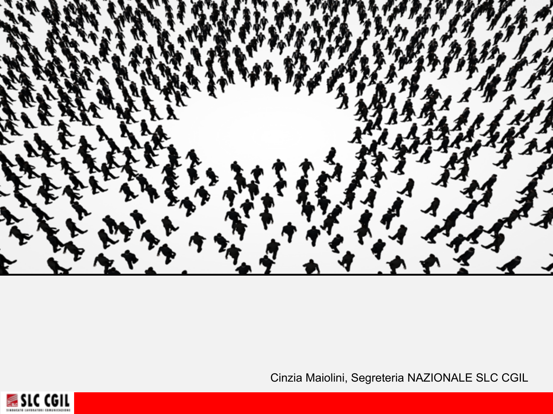

Cinzia Maiolini, Segreteria NAZIONALE SLC CGIL

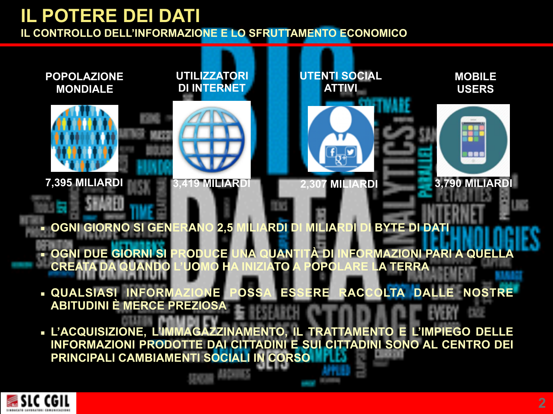# **IL POTERE DEI DATI**

IL CONTROLLO DELL'INFORMAZIONE E LO SFRUTTAMENTO ECONOMICO



**RDID MILIA OGNI GIORNO SI GENI BYTE DI DAT** AN  $2.5$ 

- **DGNI DUE GIORNI SI TÀ DI** OD **UAN1 FO MAZIONI PARI A QUELLA** DE UO **CREATA DA QUANDO** LA TERRA **NTO OPO**
- OLTA DALLE NOSTRE **QUALSIASI INFORM OSS** ES EREI RAC Æ **ABITUDINI È MERCE PREZIOSA**
- L'ACQUISIZIONE, L'IMMAGAZZINAMENTO, IL TRATTAMENTO E L'IMPIEGO DELLE INFORMAZIONI PRODOTTE DAI CITTADINI E SUI CITTADINI SONO AL CENTRO DEI PRINCIPALI CAMBIAMENTI SOCIALI IN CORSO

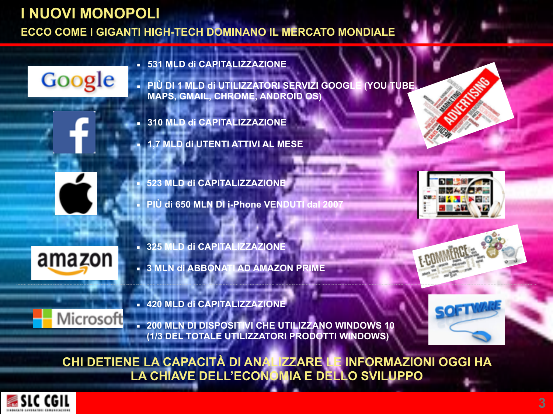### **I NUOVI MONOPOLI ECCO COME I GIGANTI HIGH-TECH DOMINANO IL MERCATO MONDIALE**

#### ▪ **531 MLD di CAPITALIZZAZIONE**

▪ **PIÙ DI 1 MLD di UTILIZZATORI SERVIZI GOOGLE (YOU TUBE, MAPS, GMAIL, CHROME, ANDROID OS)**

▪ **310 MLD di CAPITALIZZAZIONE** 

▪ **1,7 MLD di UTENTI ATTIVI AL MESE**

▪ **523 MLD di CAPITALIZZAZIONE**  ▪ **PIÙ di 650 MLN DI i-Phone VENDUTI dal 2007**



Microsoft

Google

- **325 MLD di CAPITALIZZAZIONE**
- **3 MLN di ABBONATI AD AMAZON PRIME**
- **420 MLD di CAPITALIZZAZIONE**

▪ **200 MLN DI DISPOSITIVI CHE UTILIZZANO WINDOWS 10 (1/3 DEL TOTALE UTILIZZATORI PRODOTTI WINDOWS)**



**CHI DETIENE LA CAPACITÀ DI ANALIZZARE LE INFORMAZIONI OGGI HA LA CHIAVE DELL'ECONOMIA E DELLO SVILUPPO**



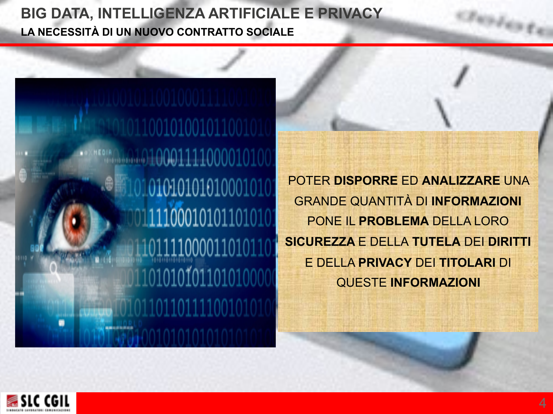## **BIG DATA, INTELLIGENZA ARTIFICIALE E PRIVACY LA NECESSITÀ DI UN NUOVO CONTRATTO SOCIALE**



POTER **DISPORRE** ED **ANALIZZARE** UNA GRANDE QUANTITÀ DI **INFORMAZIONI** PONE IL **PROBLEMA** DELLA LORO **SICUREZZA** E DELLA **TUTELA** DEI **DIRITTI** E DELLA **PRIVACY** DEI **TITOLARI** DI QUESTE **INFORMAZIONI**



Tustess